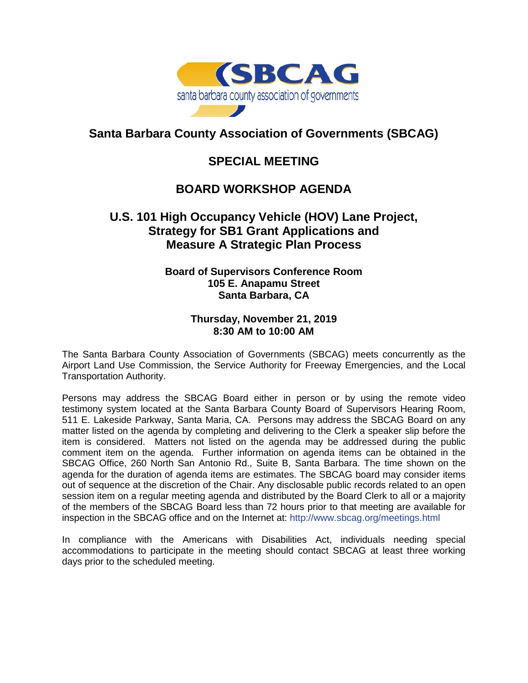

## **Santa Barbara County Association of Governments (SBCAG)**

### **SPECIAL MEETING**

# **BOARD WORKSHOP AGENDA**

### **U.S. 101 High Occupancy Vehicle (HOV) Lane Project, Strategy for SB1 Grant Applications and Measure A Strategic Plan Process**

#### **Board of Supervisors Conference Room 105 E. Anapamu Street Santa Barbara, CA**

#### **Thursday, November 21, 2019 8:30 AM to 10:00 AM**

The Santa Barbara County Association of Governments (SBCAG) meets concurrently as the Airport Land Use Commission, the Service Authority for Freeway Emergencies, and the Local Transportation Authority.

Persons may address the SBCAG Board either in person or by using the remote video testimony system located at the Santa Barbara County Board of Supervisors Hearing Room, 511 E. Lakeside Parkway, Santa Maria, CA. Persons may address the SBCAG Board on any matter listed on the agenda by completing and delivering to the Clerk a speaker slip before the item is considered. Matters not listed on the agenda may be addressed during the public comment item on the agenda. Further information on agenda items can be obtained in the SBCAG Office, 260 North San Antonio Rd., Suite B, Santa Barbara. The time shown on the agenda for the duration of agenda items are estimates. The SBCAG board may consider items out of sequence at the discretion of the Chair. Any disclosable public records related to an open session item on a regular meeting agenda and distributed by the Board Clerk to all or a majority of the members of the SBCAG Board less than 72 hours prior to that meeting are available for inspection in the SBCAG office and on the Internet at: <http://www.sbcag.org/meetings.html>

In compliance with the Americans with Disabilities Act, individuals needing special accommodations to participate in the meeting should contact SBCAG at least three working days prior to the scheduled meeting.